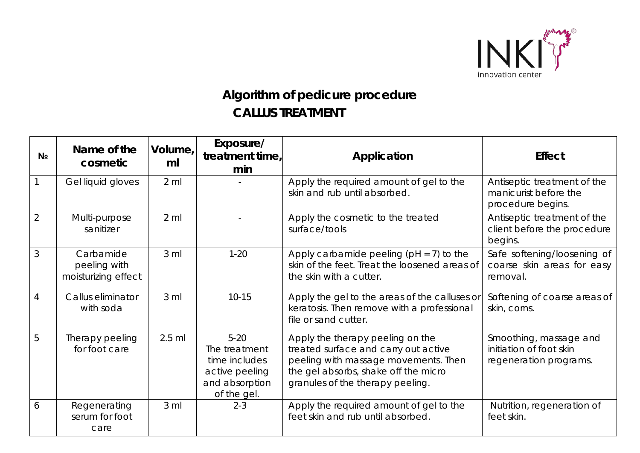

## **Algorithm of pedicure procedure CALLUS TREATMENT**

| N <sub>2</sub> | Name of the<br>cosmetic                          | Volume,<br>ml   | Exposure/<br>treatment time,<br>min                                                           | Application                                                                                                                                                                                  | <b>Effect</b>                                                               |
|----------------|--------------------------------------------------|-----------------|-----------------------------------------------------------------------------------------------|----------------------------------------------------------------------------------------------------------------------------------------------------------------------------------------------|-----------------------------------------------------------------------------|
|                | Gel liquid gloves                                | $2 \mathrm{ml}$ |                                                                                               | Apply the required amount of gel to the<br>skin and rub until absorbed.                                                                                                                      | Antiseptic treatment of the<br>manicurist before the<br>procedure begins.   |
| $\overline{2}$ | Multi-purpose<br>sanitizer                       | $2 \mathrm{ml}$ |                                                                                               | Apply the cosmetic to the treated<br>surface/tools                                                                                                                                           | Antiseptic treatment of the<br>client before the procedure<br>begins.       |
| 3              | Carbamide<br>peeling with<br>moisturizing effect | $3 \,$ ml       | $1 - 20$                                                                                      | Apply carbamide peeling ( $pH = 7$ ) to the<br>skin of the feet. Treat the loosened areas of<br>the skin with a cutter.                                                                      | Safe softening/loosening of<br>coarse skin areas for easy<br>removal.       |
| 4              | Callus eliminator<br>with soda                   | 3 <sub>m</sub>  | $10 - 15$                                                                                     | Apply the gel to the areas of the calluses or<br>keratosis. Then remove with a professional<br>file or sand cutter.                                                                          | Softening of coarse areas of<br>skin, corns.                                |
| 5              | Therapy peeling<br>for foot care                 | $2.5$ ml        | $5 - 20$<br>The treatment<br>time includes<br>active peeling<br>and absorption<br>of the gel. | Apply the therapy peeling on the<br>treated surface and carry out active<br>peeling with massage movements. Then<br>the gel absorbs, shake off the micro<br>granules of the therapy peeling. | Smoothing, massage and<br>initiation of foot skin<br>regeneration programs. |
| 6              | Regenerating<br>serum for foot<br>care           | 3 <sub>m</sub>  | $2 - 3$                                                                                       | Apply the required amount of gel to the<br>feet skin and rub until absorbed.                                                                                                                 | Nutrition, regeneration of<br>feet skin.                                    |